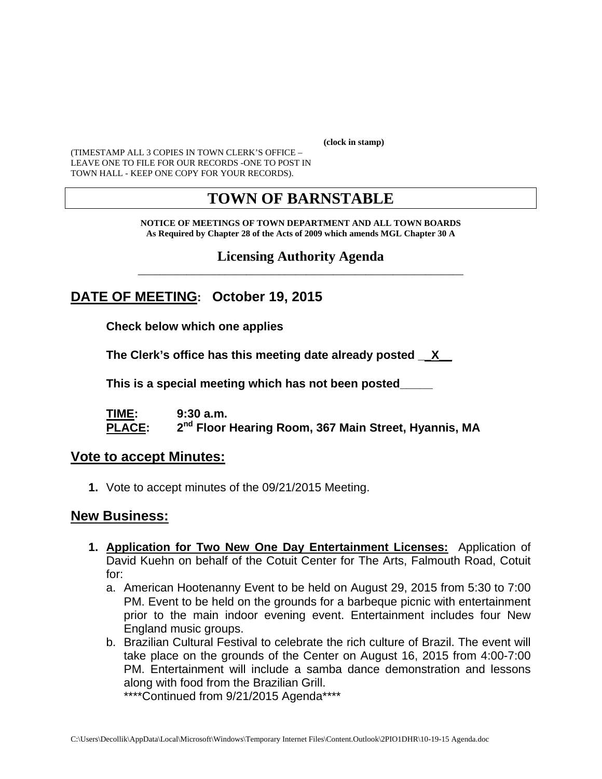**(clock in stamp)** 

(TIMESTAMP ALL 3 COPIES IN TOWN CLERK'S OFFICE – LEAVE ONE TO FILE FOR OUR RECORDS -ONE TO POST IN TOWN HALL - KEEP ONE COPY FOR YOUR RECORDS).

## **TOWN OF BARNSTABLE**

**NOTICE OF MEETINGS OF TOWN DEPARTMENT AND ALL TOWN BOARDS As Required by Chapter 28 of the Acts of 2009 which amends MGL Chapter 30 A** 

#### **Licensing Authority Agenda** \_\_\_\_\_\_\_\_\_\_\_\_\_\_\_\_\_\_\_\_\_\_\_\_\_\_\_\_\_\_\_\_\_\_\_\_\_\_\_\_\_\_\_\_\_\_\_\_\_\_\_\_\_\_\_\_\_\_\_\_

## **DATE OF MEETING: October 19, 2015**

**Check below which one applies** 

**The Clerk's office has this meeting date already posted \_\_X\_\_** 

 **This is a special meeting which has not been posted\_\_\_\_\_** 

**TIME: 9:30 a.m. PLACE: 2nd Floor Hearing Room, 367 Main Street, Hyannis, MA**

#### **Vote to accept Minutes:**

**1.** Vote to accept minutes of the 09/21/2015 Meeting.

#### **New Business:**

- **1. Application for Two New One Day Entertainment Licenses:** Application of David Kuehn on behalf of the Cotuit Center for The Arts, Falmouth Road, Cotuit for:
	- a. American Hootenanny Event to be held on August 29, 2015 from 5:30 to 7:00 PM. Event to be held on the grounds for a barbeque picnic with entertainment prior to the main indoor evening event. Entertainment includes four New England music groups.
	- b. Brazilian Cultural Festival to celebrate the rich culture of Brazil. The event will take place on the grounds of the Center on August 16, 2015 from 4:00-7:00 PM. Entertainment will include a samba dance demonstration and lessons along with food from the Brazilian Grill.

\*\*\*\*Continued from 9/21/2015 Agenda\*\*\*\*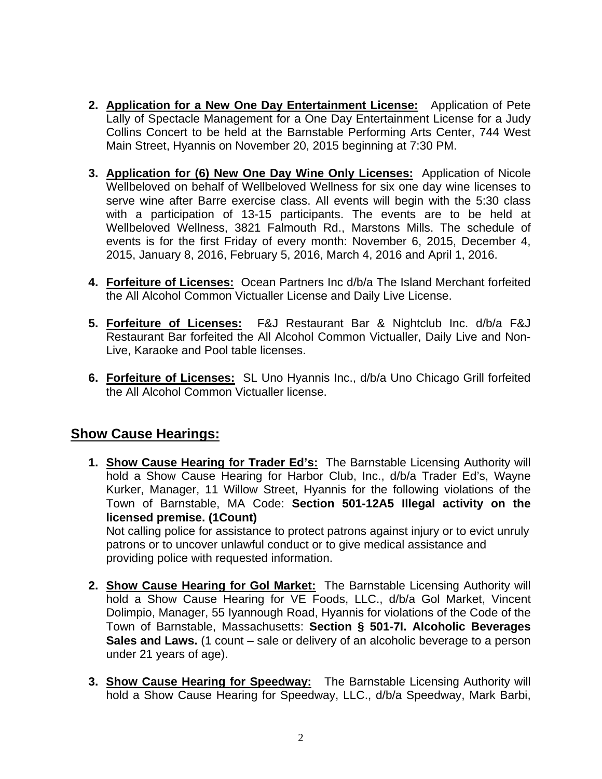- **2. Application for a New One Day Entertainment License:** Application of Pete Lally of Spectacle Management for a One Day Entertainment License for a Judy Collins Concert to be held at the Barnstable Performing Arts Center, 744 West Main Street, Hyannis on November 20, 2015 beginning at 7:30 PM.
- **3. Application for (6) New One Day Wine Only Licenses:** Application of Nicole Wellbeloved on behalf of Wellbeloved Wellness for six one day wine licenses to serve wine after Barre exercise class. All events will begin with the 5:30 class with a participation of 13-15 participants. The events are to be held at Wellbeloved Wellness, 3821 Falmouth Rd., Marstons Mills. The schedule of events is for the first Friday of every month: November 6, 2015, December 4, 2015, January 8, 2016, February 5, 2016, March 4, 2016 and April 1, 2016.
- **4. Forfeiture of Licenses:** Ocean Partners Inc d/b/a The Island Merchant forfeited the All Alcohol Common Victualler License and Daily Live License.
- **5. Forfeiture of Licenses:** F&J Restaurant Bar & Nightclub Inc. d/b/a F&J Restaurant Bar forfeited the All Alcohol Common Victualler, Daily Live and Non-Live, Karaoke and Pool table licenses.
- **6. Forfeiture of Licenses:** SL Uno Hyannis Inc., d/b/a Uno Chicago Grill forfeited the All Alcohol Common Victualler license.

## **Show Cause Hearings:**

**1. Show Cause Hearing for Trader Ed's:** The Barnstable Licensing Authority will hold a Show Cause Hearing for Harbor Club, Inc., d/b/a Trader Ed's, Wayne Kurker, Manager, 11 Willow Street, Hyannis for the following violations of the Town of Barnstable, MA Code: **Section 501-12A5 Illegal activity on the licensed premise. (1Count)** 

Not calling police for assistance to protect patrons against injury or to evict unruly patrons or to uncover unlawful conduct or to give medical assistance and providing police with requested information.

- **2. Show Cause Hearing for Gol Market:** The Barnstable Licensing Authority will hold a Show Cause Hearing for VE Foods, LLC., d/b/a Gol Market, Vincent Dolimpio, Manager, 55 Iyannough Road, Hyannis for violations of the Code of the Town of Barnstable, Massachusetts: **Section § 501-7I. Alcoholic Beverages Sales and Laws.** (1 count – sale or delivery of an alcoholic beverage to a person under 21 years of age).
- **3. Show Cause Hearing for Speedway:** The Barnstable Licensing Authority will hold a Show Cause Hearing for Speedway, LLC., d/b/a Speedway, Mark Barbi,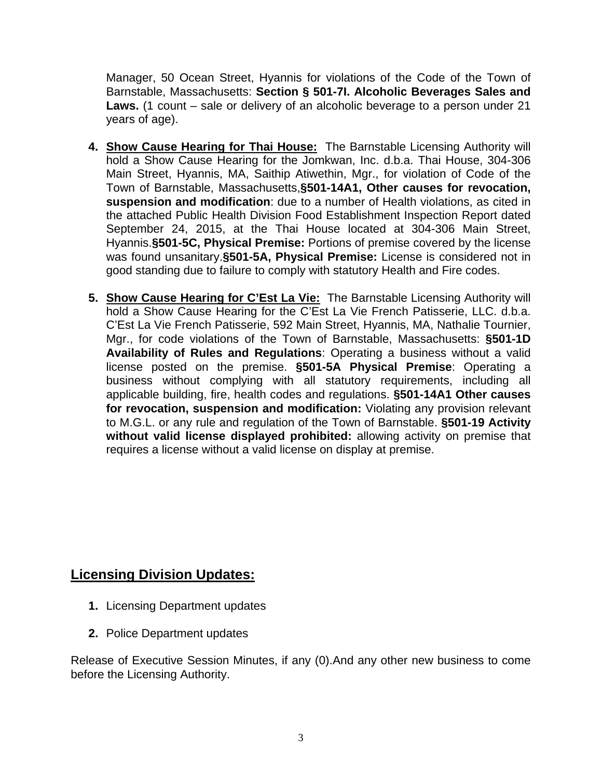Manager, 50 Ocean Street, Hyannis for violations of the Code of the Town of Barnstable, Massachusetts: **Section § 501-7I. Alcoholic Beverages Sales and Laws.** (1 count – sale or delivery of an alcoholic beverage to a person under 21 years of age).

- **4. Show Cause Hearing for Thai House:** The Barnstable Licensing Authority will hold a Show Cause Hearing for the Jomkwan, Inc. d.b.a. Thai House, 304-306 Main Street, Hyannis, MA, Saithip Atiwethin, Mgr., for violation of Code of the Town of Barnstable, Massachusetts,**§501-14A1, Other causes for revocation, suspension and modification**: due to a number of Health violations, as cited in the attached Public Health Division Food Establishment Inspection Report dated September 24, 2015, at the Thai House located at 304-306 Main Street, Hyannis.**§501-5C, Physical Premise:** Portions of premise covered by the license was found unsanitary.**§501-5A, Physical Premise:** License is considered not in good standing due to failure to comply with statutory Health and Fire codes.
- **5. Show Cause Hearing for C'Est La Vie:** The Barnstable Licensing Authority will hold a Show Cause Hearing for the C'Est La Vie French Patisserie, LLC. d.b.a. C'Est La Vie French Patisserie, 592 Main Street, Hyannis, MA, Nathalie Tournier, Mgr., for code violations of the Town of Barnstable, Massachusetts: **§501-1D Availability of Rules and Regulations**: Operating a business without a valid license posted on the premise. **§501-5A Physical Premise**: Operating a business without complying with all statutory requirements, including all applicable building, fire, health codes and regulations. **§501-14A1 Other causes for revocation, suspension and modification:** Violating any provision relevant to M.G.L. or any rule and regulation of the Town of Barnstable. **§501-19 Activity without valid license displayed prohibited:** allowing activity on premise that requires a license without a valid license on display at premise.

## **Licensing Division Updates:**

- **1.** Licensing Department updates
- **2.** Police Department updates

Release of Executive Session Minutes, if any (0).And any other new business to come before the Licensing Authority.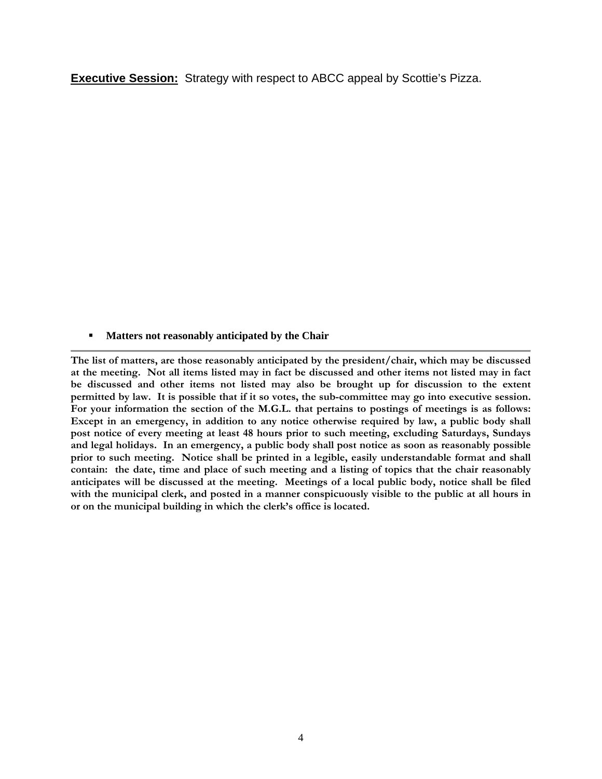**Executive Session:** Strategy with respect to ABCC appeal by Scottie's Pizza.

**Matters not reasonably anticipated by the Chair** 

**The list of matters, are those reasonably anticipated by the president/chair, which may be discussed at the meeting. Not all items listed may in fact be discussed and other items not listed may in fact be discussed and other items not listed may also be brought up for discussion to the extent permitted by law. It is possible that if it so votes, the sub-committee may go into executive session. For your information the section of the M.G.L. that pertains to postings of meetings is as follows: Except in an emergency, in addition to any notice otherwise required by law, a public body shall post notice of every meeting at least 48 hours prior to such meeting, excluding Saturdays, Sundays and legal holidays. In an emergency, a public body shall post notice as soon as reasonably possible prior to such meeting. Notice shall be printed in a legible, easily understandable format and shall contain: the date, time and place of such meeting and a listing of topics that the chair reasonably anticipates will be discussed at the meeting. Meetings of a local public body, notice shall be filed with the municipal clerk, and posted in a manner conspicuously visible to the public at all hours in or on the municipal building in which the clerk's office is located.**